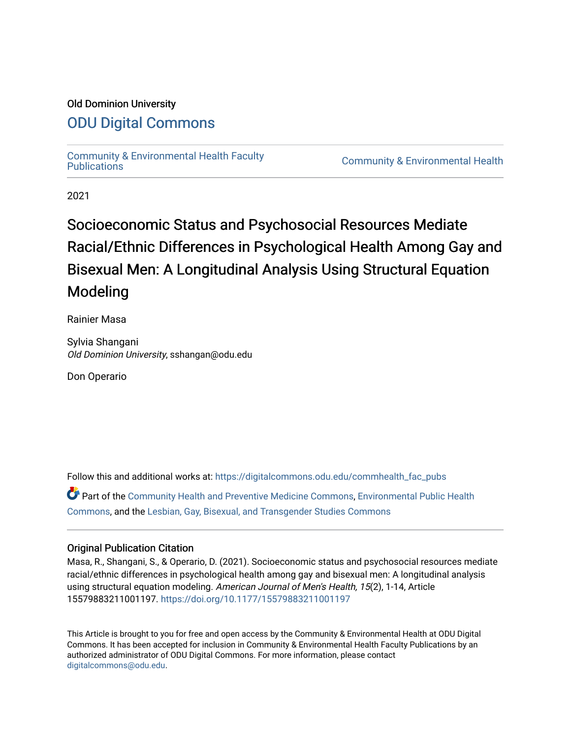# Old Dominion University

# [ODU Digital Commons](https://digitalcommons.odu.edu/)

[Community & Environmental Health Faculty](https://digitalcommons.odu.edu/commhealth_fac_pubs)<br>Publications

**Community & Environmental Health** 

2021

# Socioeconomic Status and Psychosocial Resources Mediate Racial/Ethnic Differences in Psychological Health Among Gay and Bisexual Men: A Longitudinal Analysis Using Structural Equation Modeling

Rainier Masa

Sylvia Shangani Old Dominion University, sshangan@odu.edu

Don Operario

Follow this and additional works at: [https://digitalcommons.odu.edu/commhealth\\_fac\\_pubs](https://digitalcommons.odu.edu/commhealth_fac_pubs?utm_source=digitalcommons.odu.edu%2Fcommhealth_fac_pubs%2F113&utm_medium=PDF&utm_campaign=PDFCoverPages)  Part of the [Community Health and Preventive Medicine Commons](http://network.bepress.com/hgg/discipline/744?utm_source=digitalcommons.odu.edu%2Fcommhealth_fac_pubs%2F113&utm_medium=PDF&utm_campaign=PDFCoverPages), Environmental Public Health [Commons](http://network.bepress.com/hgg/discipline/739?utm_source=digitalcommons.odu.edu%2Fcommhealth_fac_pubs%2F113&utm_medium=PDF&utm_campaign=PDFCoverPages), and the [Lesbian, Gay, Bisexual, and Transgender Studies Commons](http://network.bepress.com/hgg/discipline/560?utm_source=digitalcommons.odu.edu%2Fcommhealth_fac_pubs%2F113&utm_medium=PDF&utm_campaign=PDFCoverPages)

# Original Publication Citation

Masa, R., Shangani, S., & Operario, D. (2021). Socioeconomic status and psychosocial resources mediate racial/ethnic differences in psychological health among gay and bisexual men: A longitudinal analysis using structural equation modeling. American Journal of Men's Health, 15(2), 1-14, Article 15579883211001197. <https://doi.org/10.1177/15579883211001197>

This Article is brought to you for free and open access by the Community & Environmental Health at ODU Digital Commons. It has been accepted for inclusion in Community & Environmental Health Faculty Publications by an authorized administrator of ODU Digital Commons. For more information, please contact [digitalcommons@odu.edu](mailto:digitalcommons@odu.edu).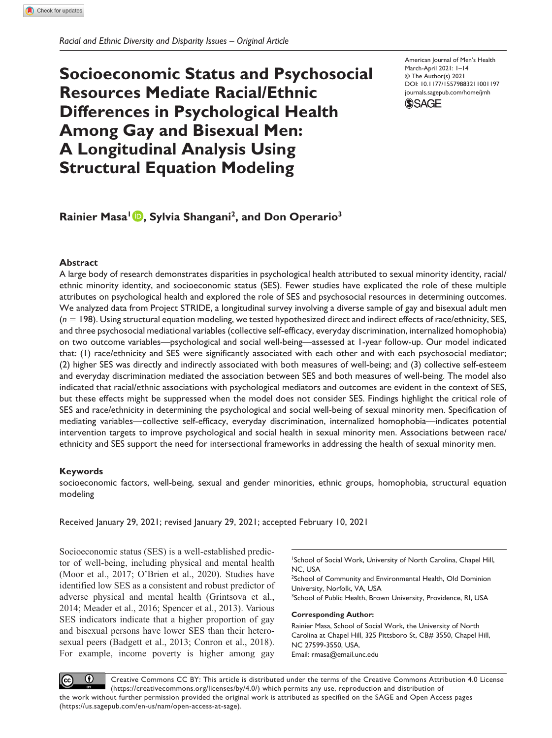*Racial and Ethnic Diversity and Disparity Issues – Original Article*

# **Socioeconomic Status and Psychosocial Resources Mediate Racial/Ethnic Differences in Psychological Health Among Gay and Bisexual Men: A Longitudinal Analysis Using Structural Equation Modeling**

DOI: 10.1177/15579883211001197 American Journal of Men's Health March-April 2021: 1–14 © The Author(s) 2021 [journals.sagepub.com/home/jmh](http://journals.sagepub.com/home/jmh)



# **Rainier Masa1 , Sylvia Shangani2, and Don Operario3**

### **Abstract**

A large body of research demonstrates disparities in psychological health attributed to sexual minority identity, racial/ ethnic minority identity, and socioeconomic status (SES). Fewer studies have explicated the role of these multiple attributes on psychological health and explored the role of SES and psychosocial resources in determining outcomes. We analyzed data from Project STRIDE, a longitudinal survey involving a diverse sample of gay and bisexual adult men (*n* = 198). Using structural equation modeling, we tested hypothesized direct and indirect effects of race/ethnicity, SES, and three psychosocial mediational variables (collective self-efficacy, everyday discrimination, internalized homophobia) on two outcome variables—psychological and social well-being—assessed at 1-year follow-up. Our model indicated that: (1) race/ethnicity and SES were significantly associated with each other and with each psychosocial mediator; (2) higher SES was directly and indirectly associated with both measures of well-being; and (3) collective self-esteem and everyday discrimination mediated the association between SES and both measures of well-being. The model also indicated that racial/ethnic associations with psychological mediators and outcomes are evident in the context of SES, but these effects might be suppressed when the model does not consider SES. Findings highlight the critical role of SES and race/ethnicity in determining the psychological and social well-being of sexual minority men. Specification of mediating variables—collective self-efficacy, everyday discrimination, internalized homophobia—indicates potential intervention targets to improve psychological and social health in sexual minority men. Associations between race/ ethnicity and SES support the need for intersectional frameworks in addressing the health of sexual minority men.

## **Keywords**

socioeconomic factors, well-being, sexual and gender minorities, ethnic groups, homophobia, structural equation modeling

Received January 29, 2021; revised January 29, 2021; accepted February 10, 2021

Socioeconomic status (SES) is a well-established predictor of well-being, including physical and mental health (Moor et al., 2017; O'Brien et al., 2020). Studies have identified low SES as a consistent and robust predictor of adverse physical and mental health (Grintsova et al., 2014; Meader et al., 2016; Spencer et al., 2013). Various SES indicators indicate that a higher proportion of gay and bisexual persons have lower SES than their heterosexual peers (Badgett et al., 2013; Conron et al., 2018). For example, income poverty is higher among gay

<sup>1</sup>School of Social Work, University of North Carolina, Chapel Hill, NC, USA

<sup>2</sup>School of Community and Environmental Health, Old Dominion University, Norfolk, VA, USA

<sup>3</sup>School of Public Health, Brown University, Providence, RI, USA

#### **Corresponding Author:**

Rainier Masa, School of Social Work, the University of North Carolina at Chapel Hill, 325 Pittsboro St, CB# 3550, Chapel Hill, NC 27599-3550, USA. Email: [rmasa@email.unc.edu](mailto:rmasa@email.unc.edu)

Creative Commons CC BY: This article is distributed under the terms of the Creative Commons Attribution 4.0 License (https://creativecommons.org/licenses/by/4.0/) which permits any use, reproduction and distribution of the work without further permission provided the original work is attributed as specified on the SAGE and Open Access pages (https://us.sagepub.com/en-us/nam/open-access-at-sage).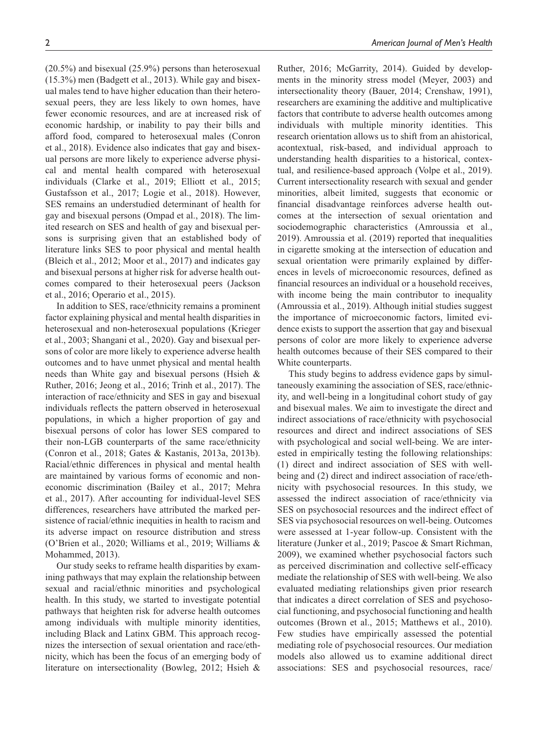(20.5%) and bisexual (25.9%) persons than heterosexual (15.3%) men (Badgett et al., 2013). While gay and bisexual males tend to have higher education than their heterosexual peers, they are less likely to own homes, have fewer economic resources, and are at increased risk of economic hardship, or inability to pay their bills and afford food, compared to heterosexual males (Conron et al., 2018). Evidence also indicates that gay and bisexual persons are more likely to experience adverse physical and mental health compared with heterosexual individuals (Clarke et al., 2019; Elliott et al., 2015; Gustafsson et al., 2017; Logie et al., 2018). However, SES remains an understudied determinant of health for gay and bisexual persons (Ompad et al., 2018). The limited research on SES and health of gay and bisexual persons is surprising given that an established body of literature links SES to poor physical and mental health (Bleich et al., 2012; Moor et al., 2017) and indicates gay and bisexual persons at higher risk for adverse health outcomes compared to their heterosexual peers (Jackson et al., 2016; Operario et al., 2015).

In addition to SES, race/ethnicity remains a prominent factor explaining physical and mental health disparities in heterosexual and non-heterosexual populations (Krieger et al., 2003; Shangani et al., 2020). Gay and bisexual persons of color are more likely to experience adverse health outcomes and to have unmet physical and mental health needs than White gay and bisexual persons (Hsieh & Ruther, 2016; Jeong et al., 2016; Trinh et al., 2017). The interaction of race/ethnicity and SES in gay and bisexual individuals reflects the pattern observed in heterosexual populations, in which a higher proportion of gay and bisexual persons of color has lower SES compared to their non-LGB counterparts of the same race/ethnicity (Conron et al., 2018; Gates & Kastanis, 2013a, 2013b). Racial/ethnic differences in physical and mental health are maintained by various forms of economic and noneconomic discrimination (Bailey et al., 2017; Mehra et al., 2017). After accounting for individual-level SES differences, researchers have attributed the marked persistence of racial/ethnic inequities in health to racism and its adverse impact on resource distribution and stress (O'Brien et al., 2020; Williams et al., 2019; Williams & Mohammed, 2013).

Our study seeks to reframe health disparities by examining pathways that may explain the relationship between sexual and racial/ethnic minorities and psychological health. In this study, we started to investigate potential pathways that heighten risk for adverse health outcomes among individuals with multiple minority identities, including Black and Latinx GBM. This approach recognizes the intersection of sexual orientation and race/ethnicity, which has been the focus of an emerging body of literature on intersectionality (Bowleg, 2012; Hsieh & Ruther, 2016; McGarrity, 2014). Guided by developments in the minority stress model (Meyer, 2003) and intersectionality theory (Bauer, 2014; Crenshaw, 1991), researchers are examining the additive and multiplicative factors that contribute to adverse health outcomes among individuals with multiple minority identities. This research orientation allows us to shift from an ahistorical, acontextual, risk-based, and individual approach to understanding health disparities to a historical, contextual, and resilience-based approach (Volpe et al., 2019). Current intersectionality research with sexual and gender minorities, albeit limited, suggests that economic or financial disadvantage reinforces adverse health outcomes at the intersection of sexual orientation and sociodemographic characteristics (Amroussia et al., 2019). Amroussia et al. (2019) reported that inequalities in cigarette smoking at the intersection of education and sexual orientation were primarily explained by differences in levels of microeconomic resources, defined as financial resources an individual or a household receives, with income being the main contributor to inequality (Amroussia et al., 2019). Although initial studies suggest the importance of microeconomic factors, limited evidence exists to support the assertion that gay and bisexual persons of color are more likely to experience adverse health outcomes because of their SES compared to their White counterparts.

This study begins to address evidence gaps by simultaneously examining the association of SES, race/ethnicity, and well-being in a longitudinal cohort study of gay and bisexual males. We aim to investigate the direct and indirect associations of race/ethnicity with psychosocial resources and direct and indirect associations of SES with psychological and social well-being. We are interested in empirically testing the following relationships: (1) direct and indirect association of SES with wellbeing and (2) direct and indirect association of race/ethnicity with psychosocial resources. In this study, we assessed the indirect association of race/ethnicity via SES on psychosocial resources and the indirect effect of SES via psychosocial resources on well-being. Outcomes were assessed at 1-year follow-up. Consistent with the literature (Junker et al., 2019; Pascoe & Smart Richman, 2009), we examined whether psychosocial factors such as perceived discrimination and collective self-efficacy mediate the relationship of SES with well-being. We also evaluated mediating relationships given prior research that indicates a direct correlation of SES and psychosocial functioning, and psychosocial functioning and health outcomes (Brown et al., 2015; Matthews et al., 2010). Few studies have empirically assessed the potential mediating role of psychosocial resources. Our mediation models also allowed us to examine additional direct associations: SES and psychosocial resources, race/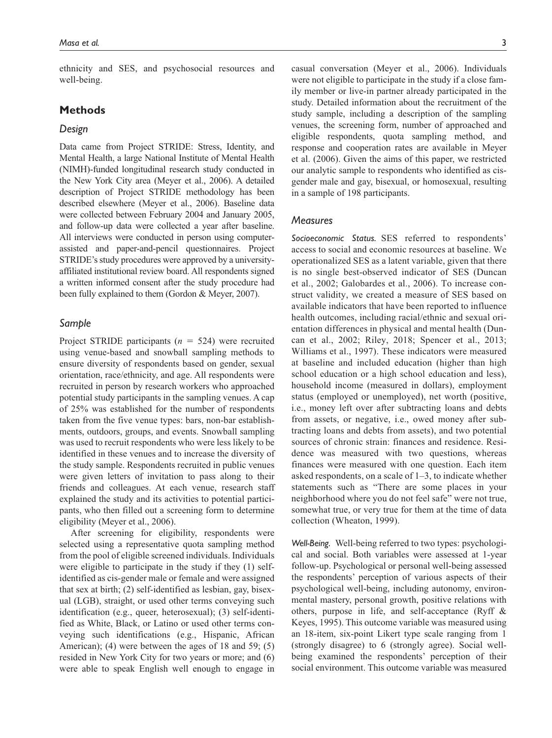ethnicity and SES, and psychosocial resources and well-being.

# **Methods**

#### *Design*

Data came from Project STRIDE: Stress, Identity, and Mental Health, a large National Institute of Mental Health (NIMH)-funded longitudinal research study conducted in the New York City area (Meyer et al., 2006). A detailed description of Project STRIDE methodology has been described elsewhere (Meyer et al., 2006). Baseline data were collected between February 2004 and January 2005, and follow-up data were collected a year after baseline. All interviews were conducted in person using computerassisted and paper-and-pencil questionnaires. Project STRIDE's study procedures were approved by a universityaffiliated institutional review board. All respondents signed a written informed consent after the study procedure had been fully explained to them (Gordon & Meyer, 2007).

### *Sample*

Project STRIDE participants (*n* = 524) were recruited using venue-based and snowball sampling methods to ensure diversity of respondents based on gender, sexual orientation, race/ethnicity, and age. All respondents were recruited in person by research workers who approached potential study participants in the sampling venues. A cap of 25% was established for the number of respondents taken from the five venue types: bars, non-bar establishments, outdoors, groups, and events. Snowball sampling was used to recruit respondents who were less likely to be identified in these venues and to increase the diversity of the study sample. Respondents recruited in public venues were given letters of invitation to pass along to their friends and colleagues. At each venue, research staff explained the study and its activities to potential participants, who then filled out a screening form to determine eligibility (Meyer et al., 2006).

After screening for eligibility, respondents were selected using a representative quota sampling method from the pool of eligible screened individuals. Individuals were eligible to participate in the study if they (1) selfidentified as cis-gender male or female and were assigned that sex at birth; (2) self-identified as lesbian, gay, bisexual (LGB), straight, or used other terms conveying such identification (e.g., queer, heterosexual); (3) self-identified as White, Black, or Latino or used other terms conveying such identifications (e.g., Hispanic, African American); (4) were between the ages of 18 and 59; (5) resided in New York City for two years or more; and (6) were able to speak English well enough to engage in casual conversation (Meyer et al., 2006). Individuals were not eligible to participate in the study if a close family member or live-in partner already participated in the study. Detailed information about the recruitment of the study sample, including a description of the sampling venues, the screening form, number of approached and eligible respondents, quota sampling method, and response and cooperation rates are available in Meyer et al. (2006). Given the aims of this paper, we restricted our analytic sample to respondents who identified as cisgender male and gay, bisexual, or homosexual, resulting in a sample of 198 participants.

#### *Measures*

*Socioeconomic Status.* SES referred to respondents' access to social and economic resources at baseline. We operationalized SES as a latent variable, given that there is no single best-observed indicator of SES (Duncan et al., 2002; Galobardes et al., 2006). To increase construct validity, we created a measure of SES based on available indicators that have been reported to influence health outcomes, including racial/ethnic and sexual orientation differences in physical and mental health (Duncan et al., 2002; Riley, 2018; Spencer et al., 2013; Williams et al., 1997). These indicators were measured at baseline and included education (higher than high school education or a high school education and less), household income (measured in dollars), employment status (employed or unemployed), net worth (positive, i.e., money left over after subtracting loans and debts from assets, or negative, i.e., owed money after subtracting loans and debts from assets), and two potential sources of chronic strain: finances and residence. Residence was measured with two questions, whereas finances were measured with one question. Each item asked respondents, on a scale of 1–3, to indicate whether statements such as "There are some places in your neighborhood where you do not feel safe" were not true, somewhat true, or very true for them at the time of data collection (Wheaton, 1999).

*Well-Being.* Well-being referred to two types: psychological and social. Both variables were assessed at 1-year follow-up. Psychological or personal well-being assessed the respondents' perception of various aspects of their psychological well-being, including autonomy, environmental mastery, personal growth, positive relations with others, purpose in life, and self-acceptance (Ryff & Keyes, 1995). This outcome variable was measured using an 18-item, six-point Likert type scale ranging from 1 (strongly disagree) to 6 (strongly agree). Social wellbeing examined the respondents' perception of their social environment. This outcome variable was measured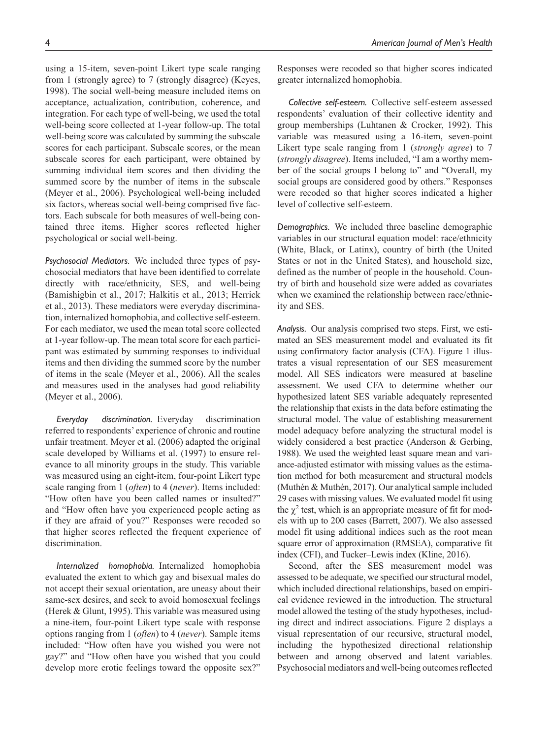using a 15-item, seven-point Likert type scale ranging from 1 (strongly agree) to 7 (strongly disagree) (Keyes, 1998). The social well-being measure included items on acceptance, actualization, contribution, coherence, and integration. For each type of well-being, we used the total well-being score collected at 1-year follow-up. The total well-being score was calculated by summing the subscale scores for each participant. Subscale scores, or the mean subscale scores for each participant, were obtained by summing individual item scores and then dividing the summed score by the number of items in the subscale (Meyer et al., 2006). Psychological well-being included six factors, whereas social well-being comprised five fac-

tors. Each subscale for both measures of well-being contained three items. Higher scores reflected higher psychological or social well-being.

*Psychosocial Mediators.* We included three types of psychosocial mediators that have been identified to correlate directly with race/ethnicity, SES, and well-being (Bamishigbin et al., 2017; Halkitis et al., 2013; Herrick et al., 2013). These mediators were everyday discrimination, internalized homophobia, and collective self-esteem. For each mediator, we used the mean total score collected at 1-year follow-up. The mean total score for each participant was estimated by summing responses to individual items and then dividing the summed score by the number of items in the scale (Meyer et al., 2006). All the scales and measures used in the analyses had good reliability (Meyer et al., 2006).

*Everyday discrimination.* Everyday discrimination referred to respondents' experience of chronic and routine unfair treatment. Meyer et al. (2006) adapted the original scale developed by Williams et al. (1997) to ensure relevance to all minority groups in the study. This variable was measured using an eight-item, four-point Likert type scale ranging from 1 (*often*) to 4 (*never*). Items included: "How often have you been called names or insulted?" and "How often have you experienced people acting as if they are afraid of you?" Responses were recoded so that higher scores reflected the frequent experience of discrimination.

*Internalized homophobia.* Internalized homophobia evaluated the extent to which gay and bisexual males do not accept their sexual orientation, are uneasy about their same-sex desires, and seek to avoid homosexual feelings (Herek & Glunt, 1995). This variable was measured using a nine-item, four-point Likert type scale with response options ranging from 1 (*often*) to 4 (*never*). Sample items included: "How often have you wished you were not gay?" and "How often have you wished that you could develop more erotic feelings toward the opposite sex?" Responses were recoded so that higher scores indicated greater internalized homophobia.

*Collective self-esteem.* Collective self-esteem assessed respondents' evaluation of their collective identity and group memberships (Luhtanen & Crocker, 1992). This variable was measured using a 16-item, seven-point Likert type scale ranging from 1 (*strongly agree*) to 7 (*strongly disagree*). Items included, "I am a worthy member of the social groups I belong to" and "Overall, my social groups are considered good by others." Responses were recoded so that higher scores indicated a higher level of collective self-esteem.

*Demographics.* We included three baseline demographic variables in our structural equation model: race/ethnicity (White, Black, or Latinx), country of birth (the United States or not in the United States), and household size, defined as the number of people in the household. Country of birth and household size were added as covariates when we examined the relationship between race/ethnicity and SES.

*Analysis.* Our analysis comprised two steps. First, we estimated an SES measurement model and evaluated its fit using confirmatory factor analysis (CFA). Figure 1 illustrates a visual representation of our SES measurement model. All SES indicators were measured at baseline assessment. We used CFA to determine whether our hypothesized latent SES variable adequately represented the relationship that exists in the data before estimating the structural model. The value of establishing measurement model adequacy before analyzing the structural model is widely considered a best practice (Anderson & Gerbing, 1988). We used the weighted least square mean and variance-adjusted estimator with missing values as the estimation method for both measurement and structural models (Muthén & Muthén, 2017). Our analytical sample included 29 cases with missing values. We evaluated model fit using the  $\chi^2$  test, which is an appropriate measure of fit for models with up to 200 cases (Barrett, 2007). We also assessed model fit using additional indices such as the root mean square error of approximation (RMSEA), comparative fit index (CFI), and Tucker–Lewis index (Kline, 2016).

Second, after the SES measurement model was assessed to be adequate, we specified our structural model, which included directional relationships, based on empirical evidence reviewed in the introduction. The structural model allowed the testing of the study hypotheses, including direct and indirect associations. Figure 2 displays a visual representation of our recursive, structural model, including the hypothesized directional relationship between and among observed and latent variables. Psychosocial mediators and well-being outcomes reflected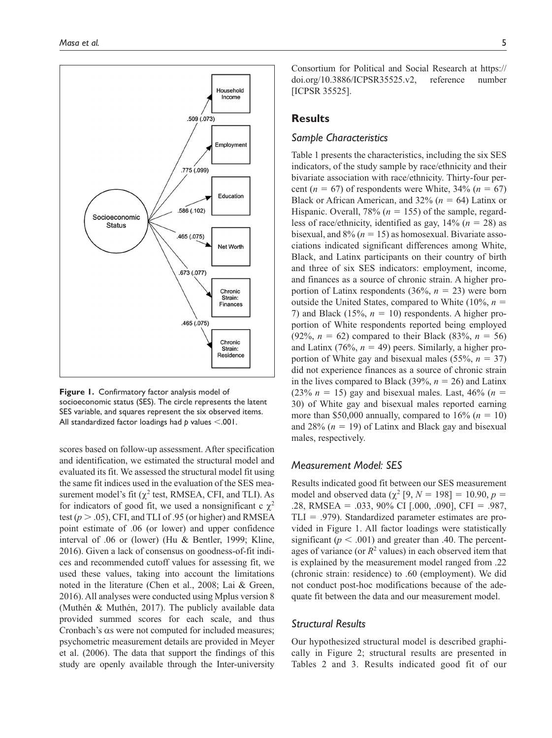

**Figure 1.** Confirmatory factor analysis model of socioeconomic status (SES). The circle represents the latent SES variable, and squares represent the six observed items. All standardized factor loadings had *p* values <.001.

scores based on follow-up assessment. After specification and identification, we estimated the structural model and evaluated its fit. We assessed the structural model fit using the same fit indices used in the evaluation of the SES measurement model's fit  $(\chi^2 \text{ test}, \text{RMSEA}, \text{CFI}, \text{and TLI})$ . As for indicators of good fit, we used a nonsignificant c  $\chi^2$ test  $(p > .05)$ , CFI, and TLI of .95 (or higher) and RMSEA point estimate of .06 (or lower) and upper confidence interval of .06 or (lower) (Hu & Bentler, 1999; Kline, 2016). Given a lack of consensus on goodness-of-fit indices and recommended cutoff values for assessing fit, we used these values, taking into account the limitations noted in the literature (Chen et al., 2008; Lai & Green, 2016). All analyses were conducted using Mplus version 8 (Muthén & Muthén, 2017). The publicly available data provided summed scores for each scale, and thus Cronbach's αs were not computed for included measures; psychometric measurement details are provided in Meyer et al. (2006). The data that support the findings of this study are openly available through the Inter-university

Consortium for Political and Social Research at [https://](https://doi.org/10.3886/ICPSR35525.v2) [doi.org/10.3886/ICPSR35525.v2](https://doi.org/10.3886/ICPSR35525.v2), reference number [ICPSR 35525].

# **Results**

# *Sample Characteristics*

Table 1 presents the characteristics, including the six SES indicators, of the study sample by race/ethnicity and their bivariate association with race/ethnicity. Thirty-four percent ( $n = 67$ ) of respondents were White, 34% ( $n = 67$ ) Black or African American, and 32% (*n* = 64) Latinx or Hispanic. Overall, 78% (*n* = 155) of the sample, regardless of race/ethnicity, identified as gay,  $14\%$  ( $n = 28$ ) as bisexual, and  $8\%$  ( $n = 15$ ) as homosexual. Bivariate associations indicated significant differences among White, Black, and Latinx participants on their country of birth and three of six SES indicators: employment, income, and finances as a source of chronic strain. A higher proportion of Latinx respondents  $(36\%, n = 23)$  were born outside the United States, compared to White  $(10\%, n =$ 7) and Black  $(15\%, n = 10)$  respondents. A higher proportion of White respondents reported being employed (92%,  $n = 62$ ) compared to their Black (83%,  $n = 56$ ) and Latinx  $(76\%, n = 49)$  peers. Similarly, a higher proportion of White gay and bisexual males  $(55\%, n = 37)$ did not experience finances as a source of chronic strain in the lives compared to Black (39%, *n* = 26) and Latinx (23%  $n = 15$ ) gay and bisexual males. Last, 46% ( $n = 15$ ) 30) of White gay and bisexual males reported earning more than \$50,000 annually, compared to  $16\%$  ( $n = 10$ ) and  $28\%$  ( $n = 19$ ) of Latinx and Black gay and bisexual males, respectively.

# *Measurement Model: SES*

Results indicated good fit between our SES measurement model and observed data ( $\chi^2$  [9,  $N = 198$ ] = 10.90,  $p =$ .28, RMSEA = .033, 90% CI [.000, .090], CFI = .987,  $TLI = .979$ ). Standardized parameter estimates are provided in Figure 1. All factor loadings were statistically significant ( $p < .001$ ) and greater than .40. The percentages of variance (or  $R^2$  values) in each observed item that is explained by the measurement model ranged from .22 (chronic strain: residence) to .60 (employment). We did not conduct post-hoc modifications because of the adequate fit between the data and our measurement model.

### *Structural Results*

Our hypothesized structural model is described graphically in Figure 2; structural results are presented in Tables 2 and 3. Results indicated good fit of our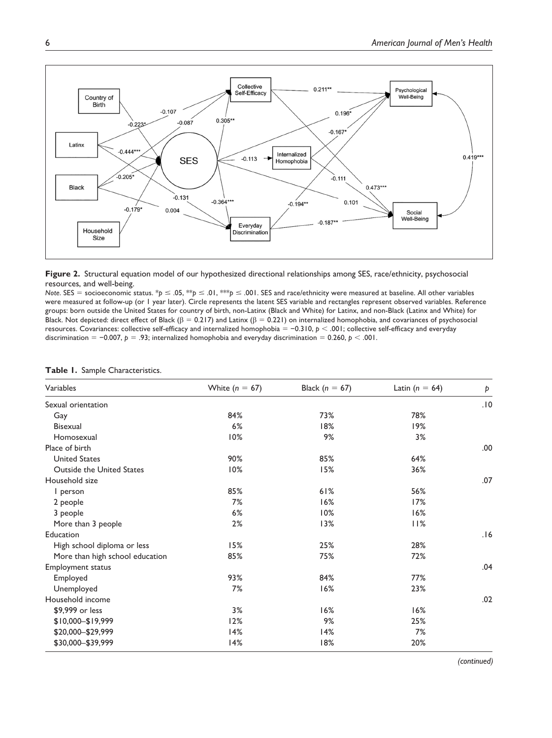



*Note.* SES = socioeconomic status. \**p* ≤ .05, \*\**p* ≤ .01, \*\*\**p* ≤ .001. SES and race/ethnicity were measured at baseline. All other variables were measured at follow-up (or 1 year later). Circle represents the latent SES variable and rectangles represent observed variables. Reference groups: born outside the United States for country of birth, non-Latinx (Black and White) for Latinx, and non-Black (Latinx and White) for Black. Not depicted: direct effect of Black ( $\beta = 0.217$ ) and Latinx ( $\beta = 0.221$ ) on internalized homophobia, and covariances of psychosocial resources. Covariances: collective self-efficacy and internalized homophobia = −0.310, *p* < .001; collective self-efficacy and everyday discrimination = −0.007, *p* = .93; internalized homophobia and everyday discrimination = 0.260, *p* < .001.

| Variables                        | White $(n = 67)$ | Black ( $n = 67$ ) | Latin ( $n = 64$ ) | Þ    |
|----------------------------------|------------------|--------------------|--------------------|------|
| Sexual orientation               |                  |                    |                    | .10  |
| Gay                              | 84%              | 73%                | 78%                |      |
| <b>Bisexual</b>                  | 6%               | 18%                | 19%                |      |
| Homosexual                       | 10%              | 9%                 | 3%                 |      |
| Place of birth                   |                  |                    |                    | .00. |
| <b>United States</b>             | 90%              | 85%                | 64%                |      |
| <b>Outside the United States</b> | 10%              | 15%                | 36%                |      |
| Household size                   |                  |                    |                    | .07  |
| I person                         | 85%              | 61%                | 56%                |      |
| 2 people                         | 7%               | 16%                | 17%                |      |
| 3 people                         | 6%               | 10%                | 16%                |      |
| More than 3 people               | 2%               | 13%                | 11%                |      |
| Education                        |                  |                    |                    | .16  |
| High school diploma or less      | 15%              | 25%                | 28%                |      |
| More than high school education  | 85%              | 75%                | 72%                |      |
| Employment status                |                  |                    |                    | .04  |
| Employed                         | 93%              | 84%                | 77%                |      |
| Unemployed                       | 7%               | 16%                | 23%                |      |
| Household income                 |                  |                    |                    | .02  |
| \$9,999 or less                  | 3%               | 16%                | 16%                |      |
| $$10,000 - $19,999$              | 12%              | 9%                 | 25%                |      |
| \$20,000-\$29,999                | 14%              | 14%                | 7%                 |      |
| \$30,000-\$39,999                | 14%              | 18%                | 20%                |      |

|  |  |  |  | Table 1. Sample Characteristics. |
|--|--|--|--|----------------------------------|
|--|--|--|--|----------------------------------|

*(continued)*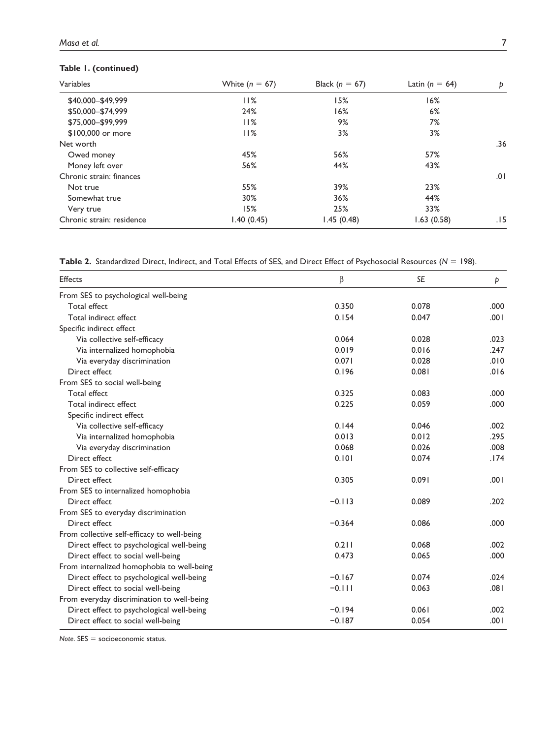# **Table 1. (continued)**

| Variables                 | White $(n = 67)$ | Black ( $n = 67$ ) | Latin ( $n = 64$ ) | Þ   |
|---------------------------|------------------|--------------------|--------------------|-----|
| \$40,000-\$49,999         | 11%              | 15%                | 16%                |     |
| \$50,000 - \$74,999       | 24%              | 16%                | 6%                 |     |
| \$75,000-\$99,999         | 11%              | 9%                 | 7%                 |     |
| \$100,000 or more         | 11%              | 3%                 | 3%                 |     |
| Net worth                 |                  |                    |                    | .36 |
| Owed money                | 45%              | 56%                | 57%                |     |
| Money left over           | 56%              | 44%                | 43%                |     |
| Chronic strain: finances  |                  |                    |                    | .01 |
| Not true                  | 55%              | 39%                | 23%                |     |
| Somewhat true             | 30%              | 36%                | 44%                |     |
| Very true                 | 15%              | 25%                | 33%                |     |
| Chronic strain: residence | I.40 (0.45)      | 1.45(0.48)         | 1.63(0.58)         | .15 |

|  |  | <b>Table 2.</b> Standardized Direct, Indirect, and Total Effects of SES, and Direct Effect of Psychosocial Resources ( $N = 198$ ). |  |
|--|--|-------------------------------------------------------------------------------------------------------------------------------------|--|
|--|--|-------------------------------------------------------------------------------------------------------------------------------------|--|

| <b>Effects</b>                              | β        | <b>SE</b> | Þ    |
|---------------------------------------------|----------|-----------|------|
| From SES to psychological well-being        |          |           |      |
| <b>Total effect</b>                         | 0.350    | 0.078     | .000 |
| Total indirect effect                       | 0.154    | 0.047     | .001 |
| Specific indirect effect                    |          |           |      |
| Via collective self-efficacy                | 0.064    | 0.028     | .023 |
| Via internalized homophobia                 | 0.019    | 0.016     | .247 |
| Via everyday discrimination                 | 0.071    | 0.028     | .010 |
| Direct effect                               | 0.196    | 0.081     | .016 |
| From SES to social well-being               |          |           |      |
| <b>Total effect</b>                         | 0.325    | 0.083     | .000 |
| Total indirect effect                       | 0.225    | 0.059     | .000 |
| Specific indirect effect                    |          |           |      |
| Via collective self-efficacy                | 0.144    | 0.046     | .002 |
| Via internalized homophobia                 | 0.013    | 0.012     | .295 |
| Via everyday discrimination                 | 0.068    | 0.026     | .008 |
| Direct effect                               | 0.101    | 0.074     | .174 |
| From SES to collective self-efficacy        |          |           |      |
| Direct effect                               | 0.305    | 0.091     | .001 |
| From SES to internalized homophobia         |          |           |      |
| Direct effect                               | $-0.113$ | 0.089     | .202 |
| From SES to everyday discrimination         |          |           |      |
| Direct effect                               | $-0.364$ | 0.086     | .000 |
| From collective self-efficacy to well-being |          |           |      |
| Direct effect to psychological well-being   | 0.211    | 0.068     | .002 |
| Direct effect to social well-being          | 0.473    | 0.065     | .000 |
| From internalized homophobia to well-being  |          |           |      |
| Direct effect to psychological well-being   | $-0.167$ | 0.074     | .024 |
| Direct effect to social well-being          | $-0.111$ | 0.063     | .081 |
| From everyday discrimination to well-being  |          |           |      |
| Direct effect to psychological well-being   | $-0.194$ | 0.061     | .002 |
| Direct effect to social well-being          | $-0.187$ | 0.054     | .001 |

*Note*. SES = socioeconomic status.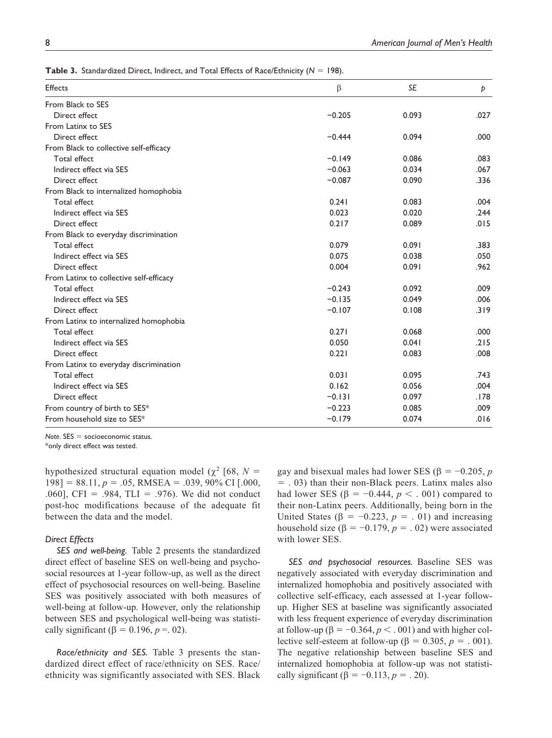**Table 3.** Standardized Direct, Indirect, and Total Effects of Race/Ethnicity (*N* = 198).

| <b>Effects</b>                          | $\beta$  | <b>SE</b> | Þ    |
|-----------------------------------------|----------|-----------|------|
| From Black to SES                       |          |           |      |
| Direct effect                           | $-0.205$ | 0.093     | .027 |
| From Latinx to SES                      |          |           |      |
| Direct effect                           | $-0.444$ | 0.094     | .000 |
| From Black to collective self-efficacy  |          |           |      |
| Total effect                            | $-0.149$ | 0.086     | .083 |
| Indirect effect via SES                 | $-0.063$ | 0.034     | .067 |
| Direct effect                           | $-0.087$ | 0.090     | .336 |
| From Black to internalized homophobia   |          |           |      |
| Total effect                            | 0.241    | 0.083     | .004 |
| Indirect effect via SES                 | 0.023    | 0.020     | .244 |
| Direct effect                           | 0.217    | 0.089     | .015 |
| From Black to everyday discrimination   |          |           |      |
| Total effect                            | 0.079    | 0.091     | .383 |
| Indirect effect via SES                 | 0.075    | 0.038     | .050 |
| Direct effect                           | 0.004    | 0.091     | .962 |
| From Latinx to collective self-efficacy |          |           |      |
| Total effect                            | $-0.243$ | 0.092     | .009 |
| Indirect effect via SES                 | $-0.135$ | 0.049     | .006 |
| Direct effect                           | $-0.107$ | 0.108     | .319 |
| From Latinx to internalized homophobia  |          |           |      |
| Total effect                            | 0.271    | 0.068     | .000 |
| Indirect effect via SES                 | 0.050    | 0.041     | .215 |
| Direct effect                           | 0.221    | 0.083     | .008 |
| From Latinx to everyday discrimination  |          |           |      |
| Total effect                            | 0.031    | 0.095     | .743 |
| Indirect effect via SES                 | 0.162    | 0.056     | .004 |
| Direct effect                           | $-0.131$ | 0.097     | .178 |
| From country of birth to SES*           | $-0.223$ | 0.085     | .009 |
| From household size to SES*             | $-0.179$ | 0.074     | .016 |

*Note*. SES = socioeconomic status. \*only direct effect was tested.

hypothesized structural equation model ( $\chi^2$  [68,  $N =$  $198$ ] = 88.11,  $p = .05$ , RMSEA = .039, 90% CI [.000, .060], CFI = .984, TLI = .976). We did not conduct post-hoc modifications because of the adequate fit between the data and the model.

### *Direct Effects*

*SES and well-being.* Table 2 presents the standardized direct effect of baseline SES on well-being and psychosocial resources at 1-year follow-up, as well as the direct effect of psychosocial resources on well-being. Baseline SES was positively associated with both measures of well-being at follow-up. However, only the relationship between SES and psychological well-being was statistically significant ( $\beta = 0.196$ ,  $p = 0.02$ ).

*Race/ethnicity and SES.* Table 3 presents the standardized direct effect of race/ethnicity on SES. Race/ ethnicity was significantly associated with SES. Black gay and bisexual males had lower SES (β = −0.205, *p* = . 03) than their non-Black peers. Latinx males also had lower SES ( $\beta = -0.444$ ,  $p < .001$ ) compared to their non-Latinx peers. Additionally, being born in the United States ( $\beta$  = -0.223,  $p$  = .01) and increasing household size (β =  $-0.179$ , *p* = .02) were associated with lower SES.

*SES and psychosocial resources.* Baseline SES was negatively associated with everyday discrimination and internalized homophobia and positively associated with collective self-efficacy, each assessed at 1-year followup. Higher SES at baseline was significantly associated with less frequent experience of everyday discrimination at follow-up ( $\beta = -0.364$ ,  $p < .001$ ) and with higher collective self-esteem at follow-up ( $\beta = 0.305$ ,  $p = 0.001$ ). The negative relationship between baseline SES and internalized homophobia at follow-up was not statistically significant ( $\beta = -0.113$ ,  $p = .20$ ).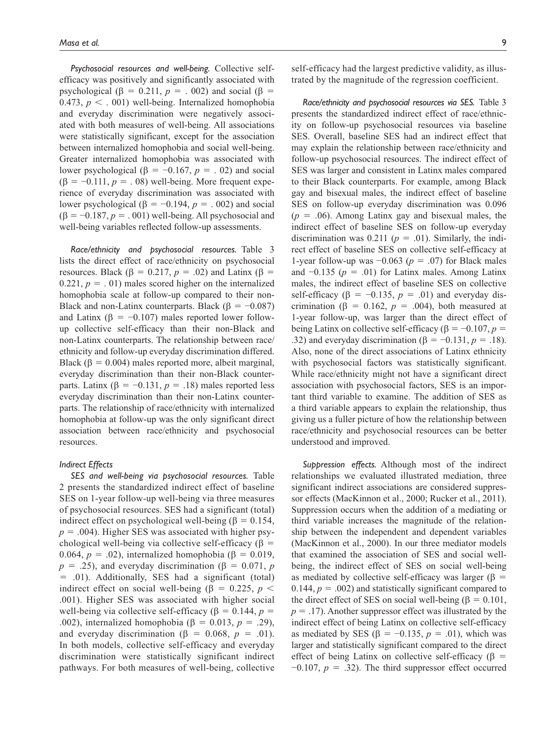*Psychosocial resources and well-being.* Collective selfefficacy was positively and significantly associated with psychological ( $\beta$  = 0.211,  $p$  = . 002) and social ( $\beta$  = 0.473,  $p < .001$ ) well-being. Internalized homophobia and everyday discrimination were negatively associated with both measures of well-being. All associations were statistically significant, except for the association between internalized homophobia and social well-being. Greater internalized homophobia was associated with lower psychological ( $\beta$  = -0.167,  $p$  = .02) and social  $(\beta = -0.111, p = .08)$  well-being. More frequent experience of everyday discrimination was associated with lower psychological ( $\beta = -0.194$ ,  $p = .002$ ) and social  $(\beta = -0.187, p = .001)$  well-being. All psychosocial and well-being variables reflected follow-up assessments.

*Race/ethnicity and psychosocial resources.* Table 3 lists the direct effect of race/ethnicity on psychosocial resources. Black (β = 0.217,  $p = .02$ ) and Latinx (β = 0.221,  $p = 0.01$ ) males scored higher on the internalized homophobia scale at follow-up compared to their non-Black and non-Latinx counterparts. Black ( $\beta = -0.087$ ) and Latinx ( $\beta = -0.107$ ) males reported lower followup collective self-efficacy than their non-Black and non-Latinx counterparts. The relationship between race/ ethnicity and follow-up everyday discrimination differed. Black ( $\beta$  = 0.004) males reported more, albeit marginal, everyday discrimination than their non-Black counterparts. Latinx (β = −0.131, *p* = .18) males reported less everyday discrimination than their non-Latinx counterparts. The relationship of race/ethnicity with internalized homophobia at follow-up was the only significant direct association between race/ethnicity and psychosocial resources.

#### *Indirect Effects*

*SES and well-being via psychosocial resources.* Table 2 presents the standardized indirect effect of baseline SES on 1-year follow-up well-being via three measures of psychosocial resources. SES had a significant (total) indirect effect on psychological well-being ( $\beta = 0.154$ ,  $p = .004$ ). Higher SES was associated with higher psychological well-being via collective self-efficacy ( $\beta$  = 0.064,  $p = 0.02$ ), internalized homophobia ( $\beta = 0.019$ ,  $p = .25$ ), and everyday discrimination ( $\beta = 0.071$ , *p* = .01). Additionally, SES had a significant (total) indirect effect on social well-being (β = 0.225,  $p$  < .001). Higher SES was associated with higher social well-being via collective self-efficacy ( $\beta = 0.144$ ,  $p =$ .002), internalized homophobia (β = 0.013, *p* = .29), and everyday discrimination ( $\beta = 0.068$ ,  $p = .01$ ). In both models, collective self-efficacy and everyday discrimination were statistically significant indirect pathways. For both measures of well-being, collective self-efficacy had the largest predictive validity, as illustrated by the magnitude of the regression coefficient.

*Race/ethnicity and psychosocial resources via SES.* Table 3 presents the standardized indirect effect of race/ethnicity on follow-up psychosocial resources via baseline SES. Overall, baseline SES had an indirect effect that may explain the relationship between race/ethnicity and follow-up psychosocial resources. The indirect effect of SES was larger and consistent in Latinx males compared to their Black counterparts. For example, among Black gay and bisexual males, the indirect effect of baseline SES on follow-up everyday discrimination was 0.096  $(p = .06)$ . Among Latinx gay and bisexual males, the indirect effect of baseline SES on follow-up everyday discrimination was  $0.211$  ( $p = .01$ ). Similarly, the indirect effect of baseline SES on collective self-efficacy at 1-year follow-up was  $-0.063$  ( $p = .07$ ) for Black males and  $-0.135$  ( $p = .01$ ) for Latinx males. Among Latinx males, the indirect effect of baseline SES on collective self-efficacy ( $\beta = -0.135$ ,  $p = .01$ ) and everyday discrimination ( $\beta = 0.162$ ,  $p = .004$ ), both measured at 1-year follow-up, was larger than the direct effect of being Latinx on collective self-efficacy (β = −0.107, *p* = .32) and everyday discrimination ( $\beta = -0.131, p = .18$ ). Also, none of the direct associations of Latinx ethnicity with psychosocial factors was statistically significant. While race/ethnicity might not have a significant direct association with psychosocial factors, SES is an important third variable to examine. The addition of SES as a third variable appears to explain the relationship, thus giving us a fuller picture of how the relationship between race/ethnicity and psychosocial resources can be better understood and improved.

*Suppression effects.* Although most of the indirect relationships we evaluated illustrated mediation, three significant indirect associations are considered suppressor effects (MacKinnon et al., 2000; Rucker et al., 2011). Suppression occurs when the addition of a mediating or third variable increases the magnitude of the relationship between the independent and dependent variables (MacKinnon et al., 2000). In our three mediator models that examined the association of SES and social wellbeing, the indirect effect of SES on social well-being as mediated by collective self-efficacy was larger ( $\beta$  = 0.144,  $p = .002$ ) and statistically significant compared to the direct effect of SES on social well-being (β =  $0.101$ ,  $p = .17$ ). Another suppressor effect was illustrated by the indirect effect of being Latinx on collective self-efficacy as mediated by SES ( $\beta = -0.135$ ,  $p = .01$ ), which was larger and statistically significant compared to the direct effect of being Latinx on collective self-efficacy ( $\beta$  =  $-0.107$ ,  $p = .32$ ). The third suppressor effect occurred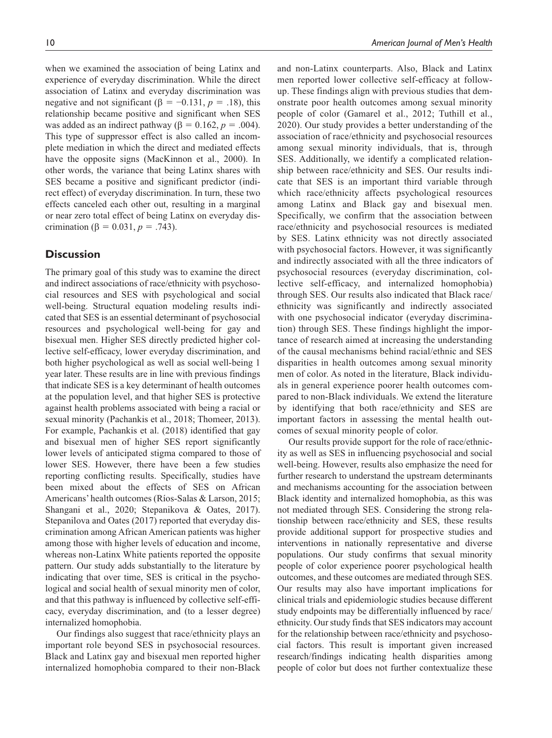when we examined the association of being Latinx and experience of everyday discrimination. While the direct association of Latinx and everyday discrimination was negative and not significant ( $\beta = -0.131$ ,  $p = .18$ ), this relationship became positive and significant when SES was added as an indirect pathway ( $\beta = 0.162$ ,  $p = .004$ ). This type of suppressor effect is also called an incomplete mediation in which the direct and mediated effects have the opposite signs (MacKinnon et al., 2000). In other words, the variance that being Latinx shares with SES became a positive and significant predictor (indirect effect) of everyday discrimination. In turn, these two effects canceled each other out, resulting in a marginal or near zero total effect of being Latinx on everyday discrimination (β = 0.031, *p* = .743).

# **Discussion**

The primary goal of this study was to examine the direct and indirect associations of race/ethnicity with psychosocial resources and SES with psychological and social well-being. Structural equation modeling results indicated that SES is an essential determinant of psychosocial resources and psychological well-being for gay and bisexual men. Higher SES directly predicted higher collective self-efficacy, lower everyday discrimination, and both higher psychological as well as social well-being 1 year later. These results are in line with previous findings that indicate SES is a key determinant of health outcomes at the population level, and that higher SES is protective against health problems associated with being a racial or sexual minority (Pachankis et al., 2018; Thomeer, 2013). For example, Pachankis et al. (2018) identified that gay and bisexual men of higher SES report significantly lower levels of anticipated stigma compared to those of lower SES. However, there have been a few studies reporting conflicting results. Specifically, studies have been mixed about the effects of SES on African Americans' health outcomes (Ríos-Salas & Larson, 2015; Shangani et al., 2020; Stepanikova & Oates, 2017). Stepanilova and Oates (2017) reported that everyday discrimination among African American patients was higher among those with higher levels of education and income, whereas non-Latinx White patients reported the opposite pattern. Our study adds substantially to the literature by indicating that over time, SES is critical in the psychological and social health of sexual minority men of color, and that this pathway is influenced by collective self-efficacy, everyday discrimination, and (to a lesser degree) internalized homophobia.

Our findings also suggest that race/ethnicity plays an important role beyond SES in psychosocial resources. Black and Latinx gay and bisexual men reported higher internalized homophobia compared to their non-Black and non-Latinx counterparts. Also, Black and Latinx men reported lower collective self-efficacy at followup. These findings align with previous studies that demonstrate poor health outcomes among sexual minority people of color (Gamarel et al., 2012; Tuthill et al., 2020). Our study provides a better understanding of the association of race/ethnicity and psychosocial resources among sexual minority individuals, that is, through SES. Additionally, we identify a complicated relationship between race/ethnicity and SES. Our results indicate that SES is an important third variable through which race/ethnicity affects psychological resources among Latinx and Black gay and bisexual men. Specifically, we confirm that the association between race/ethnicity and psychosocial resources is mediated by SES. Latinx ethnicity was not directly associated with psychosocial factors. However, it was significantly and indirectly associated with all the three indicators of psychosocial resources (everyday discrimination, collective self-efficacy, and internalized homophobia) through SES. Our results also indicated that Black race/ ethnicity was significantly and indirectly associated with one psychosocial indicator (everyday discrimination) through SES. These findings highlight the importance of research aimed at increasing the understanding of the causal mechanisms behind racial/ethnic and SES disparities in health outcomes among sexual minority men of color. As noted in the literature, Black individuals in general experience poorer health outcomes compared to non-Black individuals. We extend the literature by identifying that both race/ethnicity and SES are important factors in assessing the mental health outcomes of sexual minority people of color.

Our results provide support for the role of race/ethnicity as well as SES in influencing psychosocial and social well-being. However, results also emphasize the need for further research to understand the upstream determinants and mechanisms accounting for the association between Black identity and internalized homophobia, as this was not mediated through SES. Considering the strong relationship between race/ethnicity and SES, these results provide additional support for prospective studies and interventions in nationally representative and diverse populations. Our study confirms that sexual minority people of color experience poorer psychological health outcomes, and these outcomes are mediated through SES. Our results may also have important implications for clinical trials and epidemiologic studies because different study endpoints may be differentially influenced by race/ ethnicity. Our study finds that SES indicators may account for the relationship between race/ethnicity and psychosocial factors. This result is important given increased research/findings indicating health disparities among people of color but does not further contextualize these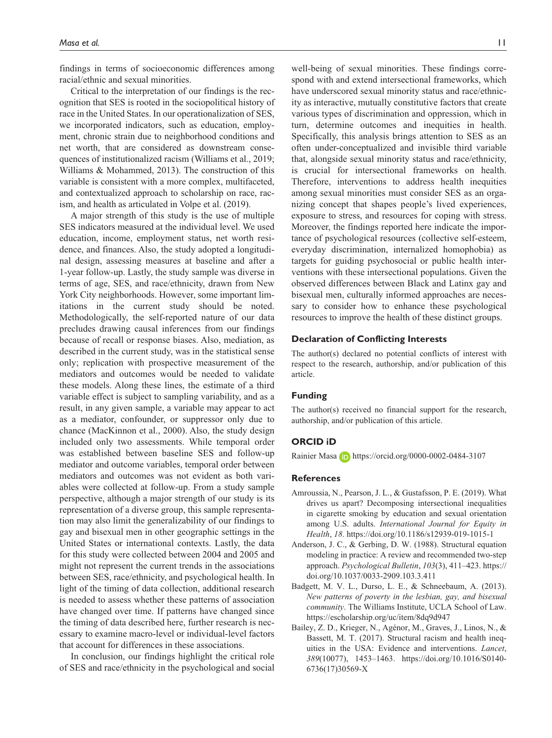findings in terms of socioeconomic differences among racial/ethnic and sexual minorities.

Critical to the interpretation of our findings is the recognition that SES is rooted in the sociopolitical history of race in the United States. In our operationalization of SES, we incorporated indicators, such as education, employment, chronic strain due to neighborhood conditions and net worth, that are considered as downstream consequences of institutionalized racism (Williams et al., 2019; Williams & Mohammed, 2013). The construction of this variable is consistent with a more complex, multifaceted, and contextualized approach to scholarship on race, racism, and health as articulated in Volpe et al. (2019).

A major strength of this study is the use of multiple SES indicators measured at the individual level. We used education, income, employment status, net worth residence, and finances. Also, the study adopted a longitudinal design, assessing measures at baseline and after a 1-year follow-up. Lastly, the study sample was diverse in terms of age, SES, and race/ethnicity, drawn from New York City neighborhoods. However, some important limitations in the current study should be noted. Methodologically, the self-reported nature of our data precludes drawing causal inferences from our findings because of recall or response biases. Also, mediation, as described in the current study, was in the statistical sense only; replication with prospective measurement of the mediators and outcomes would be needed to validate these models. Along these lines, the estimate of a third variable effect is subject to sampling variability, and as a result, in any given sample, a variable may appear to act as a mediator, confounder, or suppressor only due to chance (MacKinnon et al., 2000). Also, the study design included only two assessments. While temporal order was established between baseline SES and follow-up mediator and outcome variables, temporal order between mediators and outcomes was not evident as both variables were collected at follow-up. From a study sample perspective, although a major strength of our study is its representation of a diverse group, this sample representation may also limit the generalizability of our findings to gay and bisexual men in other geographic settings in the United States or international contexts. Lastly, the data for this study were collected between 2004 and 2005 and might not represent the current trends in the associations between SES, race/ethnicity, and psychological health. In light of the timing of data collection, additional research is needed to assess whether these patterns of association have changed over time. If patterns have changed since the timing of data described here, further research is necessary to examine macro-level or individual-level factors that account for differences in these associations.

In conclusion, our findings highlight the critical role of SES and race/ethnicity in the psychological and social

well-being of sexual minorities. These findings correspond with and extend intersectional frameworks, which have underscored sexual minority status and race/ethnicity as interactive, mutually constitutive factors that create various types of discrimination and oppression, which in turn, determine outcomes and inequities in health. Specifically, this analysis brings attention to SES as an often under-conceptualized and invisible third variable that, alongside sexual minority status and race/ethnicity, is crucial for intersectional frameworks on health. Therefore, interventions to address health inequities among sexual minorities must consider SES as an organizing concept that shapes people's lived experiences, exposure to stress, and resources for coping with stress. Moreover, the findings reported here indicate the importance of psychological resources (collective self-esteem, everyday discrimination, internalized homophobia) as targets for guiding psychosocial or public health interventions with these intersectional populations. Given the observed differences between Black and Latinx gay and bisexual men, culturally informed approaches are necessary to consider how to enhance these psychological resources to improve the health of these distinct groups.

#### **Declaration of Conflicting Interests**

The author(s) declared no potential conflicts of interest with respect to the research, authorship, and/or publication of this article.

## **Funding**

The author(s) received no financial support for the research, authorship, and/or publication of this article.

## **ORCID iD**

Rainier Masa (ip) <https://orcid.org/0000-0002-0484-3107>

## **References**

- Amroussia, N., Pearson, J. L., & Gustafsson, P. E. (2019). What drives us apart? Decomposing intersectional inequalities in cigarette smoking by education and sexual orientation among U.S. adults. *International Journal for Equity in Health*, *18*.<https://doi.org/10.1186/s12939-019-1015-1>
- Anderson, J. C., & Gerbing, D. W. (1988). Structural equation modeling in practice: A review and recommended two-step approach. *Psychological Bulletin*, *103*(3), 411–423. [https://](https://doi.org/10.1037/0033-2909.103.3.411) [doi.org/10.1037/0033-2909.103.3.411](https://doi.org/10.1037/0033-2909.103.3.411)
- Badgett, M. V. L., Durso, L. E., & Schneebaum, A. (2013). *New patterns of poverty in the lesbian, gay, and bisexual community*. The Williams Institute, UCLA School of Law. <https://escholarship.org/uc/item/8dq9d947>
- Bailey, Z. D., Krieger, N., Agénor, M., Graves, J., Linos, N., & Bassett, M. T. (2017). Structural racism and health inequities in the USA: Evidence and interventions. *Lancet*, *389*(10077), 1453–1463. [https://doi.org/10.1016/S0140-](https://doi.org/10.1016/S0140-6736(17)30569-X) [6736\(17\)30569-X](https://doi.org/10.1016/S0140-6736(17)30569-X)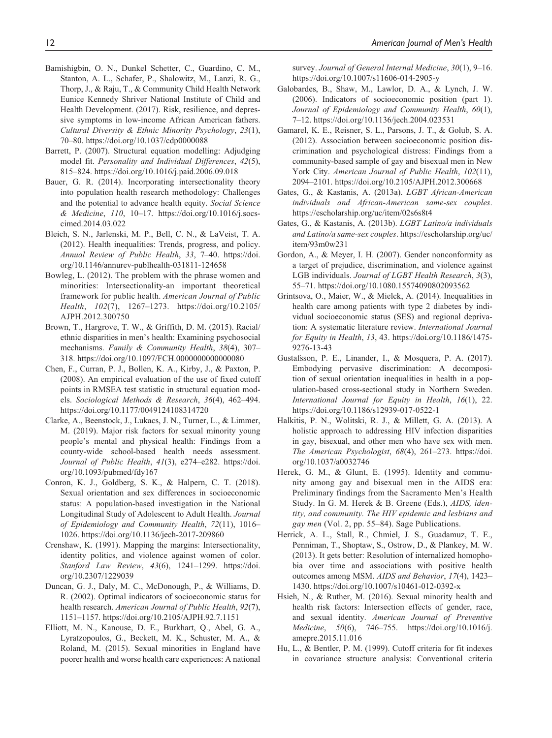- Bamishigbin, O. N., Dunkel Schetter, C., Guardino, C. M., Stanton, A. L., Schafer, P., Shalowitz, M., Lanzi, R. G., Thorp, J., & Raju, T., & Community Child Health Network Eunice Kennedy Shriver National Institute of Child and Health Development. (2017). Risk, resilience, and depressive symptoms in low-income African American fathers. *Cultural Diversity & Ethnic Minority Psychology*, *23*(1), 70–80.<https://doi.org/10.1037/cdp0000088>
- Barrett, P. (2007). Structural equation modelling: Adjudging model fit. *Personality and Individual Differences*, *42*(5), 815–824.<https://doi.org/10.1016/j.paid.2006.09.018>
- Bauer, G. R. (2014). Incorporating intersectionality theory into population health research methodology: Challenges and the potential to advance health equity. *Social Science & Medicine*, *110*, 10–17. [https://doi.org/10.1016/j.socs](https://doi.org/10.1016/j.socscimed.2014.03.022)[cimed.2014.03.022](https://doi.org/10.1016/j.socscimed.2014.03.022)
- Bleich, S. N., Jarlenski, M. P., Bell, C. N., & LaVeist, T. A. (2012). Health inequalities: Trends, progress, and policy. *Annual Review of Public Health*, *33*, 7–40. [https://doi.](https://doi.org/10.1146/annurev-publhealth-031811-124658) [org/10.1146/annurev-publhealth-031811-124658](https://doi.org/10.1146/annurev-publhealth-031811-124658)
- Bowleg, L. (2012). The problem with the phrase women and minorities: Intersectionality-an important theoretical framework for public health. *American Journal of Public Health*, *102*(7), 1267–1273. [https://doi.org/10.2105/](https://doi.org/10.2105/AJPH.2012.300750) [AJPH.2012.300750](https://doi.org/10.2105/AJPH.2012.300750)
- Brown, T., Hargrove, T. W., & Griffith, D. M. (2015). Racial/ ethnic disparities in men's health: Examining psychosocial mechanisms. *Family & Community Health*, *38*(4), 307– 318.<https://doi.org/10.1097/FCH.0000000000000080>
- Chen, F., Curran, P. J., Bollen, K. A., Kirby, J., & Paxton, P. (2008). An empirical evaluation of the use of fixed cutoff points in RMSEA test statistic in structural equation models. *Sociological Methods & Research*, *36*(4), 462–494. <https://doi.org/10.1177/0049124108314720>
- Clarke, A., Beenstock, J., Lukacs, J. N., Turner, L., & Limmer, M. (2019). Major risk factors for sexual minority young people's mental and physical health: Findings from a county-wide school-based health needs assessment. *Journal of Public Health*, *41*(3), e274–e282. [https://doi.](https://doi.org/10.1093/pubmed/fdy167) [org/10.1093/pubmed/fdy167](https://doi.org/10.1093/pubmed/fdy167)
- Conron, K. J., Goldberg, S. K., & Halpern, C. T. (2018). Sexual orientation and sex differences in socioeconomic status: A population-based investigation in the National Longitudinal Study of Adolescent to Adult Health. *Journal of Epidemiology and Community Health*, *72*(11), 1016– 1026.<https://doi.org/10.1136/jech-2017-209860>
- Crenshaw, K. (1991). Mapping the margins: Intersectionality, identity politics, and violence against women of color. *Stanford Law Review*, *43*(6), 1241–1299. [https://doi.](https://doi.org/10.2307/1229039) [org/10.2307/1229039](https://doi.org/10.2307/1229039)
- Duncan, G. J., Daly, M. C., McDonough, P., & Williams, D. R. (2002). Optimal indicators of socioeconomic status for health research. *American Journal of Public Health*, *92*(7), 1151–1157.<https://doi.org/10.2105/AJPH.92.7.1151>
- Elliott, M. N., Kanouse, D. E., Burkhart, Q., Abel, G. A., Lyratzopoulos, G., Beckett, M. K., Schuster, M. A., & Roland, M. (2015). Sexual minorities in England have poorer health and worse health care experiences: A national

survey. *Journal of General Internal Medicine*, *30*(1), 9–16. <https://doi.org/10.1007/s11606-014-2905-y>

- Galobardes, B., Shaw, M., Lawlor, D. A., & Lynch, J. W. (2006). Indicators of socioeconomic position (part 1). *Journal of Epidemiology and Community Health*, *60*(1), 7–12.<https://doi.org/10.1136/jech.2004.023531>
- Gamarel, K. E., Reisner, S. L., Parsons, J. T., & Golub, S. A. (2012). Association between socioeconomic position discrimination and psychological distress: Findings from a community-based sample of gay and bisexual men in New York City. *American Journal of Public Health*, *102*(11), 2094–2101. <https://doi.org/10.2105/AJPH.2012.300668>
- Gates, G., & Kastanis, A. (2013a). *LGBT African-American individuals and African-American same-sex couples*. <https://escholarship.org/uc/item/02s6s8t4>
- Gates, G., & Kastanis, A. (2013b). *LGBT Latino/a individuals and Latino/a same-sex couples*. [https://escholarship.org/uc/](https://escholarship.org/uc/item/93m0w231) [item/93m0w231](https://escholarship.org/uc/item/93m0w231)
- Gordon, A., & Meyer, I. H. (2007). Gender nonconformity as a target of prejudice, discrimination, and violence against LGB individuals. *Journal of LGBT Health Research*, *3*(3), 55–71. <https://doi.org/10.1080.15574090802093562>
- Grintsova, O., Maier, W., & Mielck, A. (2014). Inequalities in health care among patients with type 2 diabetes by individual socioeconomic status (SES) and regional deprivation: A systematic literature review. *International Journal for Equity in Health*, *13*, 43. [https://doi.org/10.1186/1475-](https://doi.org/10.1186/1475-9276-13-43) [9276-13-43](https://doi.org/10.1186/1475-9276-13-43)
- Gustafsson, P. E., Linander, I., & Mosquera, P. A. (2017). Embodying pervasive discrimination: A decomposition of sexual orientation inequalities in health in a population-based cross-sectional study in Northern Sweden. *International Journal for Equity in Health*, *16*(1), 22. <https://doi.org/10.1186/s12939-017-0522-1>
- Halkitis, P. N., Wolitski, R. J., & Millett, G. A. (2013). A holistic approach to addressing HIV infection disparities in gay, bisexual, and other men who have sex with men. *The American Psychologist*, *68*(4), 261–273. [https://doi.](https://doi.org/10.1037/a0032746) [org/10.1037/a0032746](https://doi.org/10.1037/a0032746)
- Herek, G. M., & Glunt, E. (1995). Identity and community among gay and bisexual men in the AIDS era: Preliminary findings from the Sacramento Men's Health Study. In G. M. Herek & B. Greene (Eds.), *AIDS, identity, and community. The HIV epidemic and lesbians and gay men* (Vol. 2, pp. 55–84). Sage Publications.
- Herrick, A. L., Stall, R., Chmiel, J. S., Guadamuz, T. E., Penniman, T., Shoptaw, S., Ostrow, D., & Plankey, M. W. (2013). It gets better: Resolution of internalized homophobia over time and associations with positive health outcomes among MSM. *AIDS and Behavior*, *17*(4), 1423– 1430.<https://doi.org/10.1007/s10461-012-0392-x>
- Hsieh, N., & Ruther, M. (2016). Sexual minority health and health risk factors: Intersection effects of gender, race, and sexual identity. *American Journal of Preventive Medicine*, *50*(6), 746–755. [https://doi.org/10.1016/j.](https://doi.org/10.1016/j.amepre.2015.11.016) [amepre.2015.11.016](https://doi.org/10.1016/j.amepre.2015.11.016)
- Hu, L., & Bentler, P. M. (1999). Cutoff criteria for fit indexes in covariance structure analysis: Conventional criteria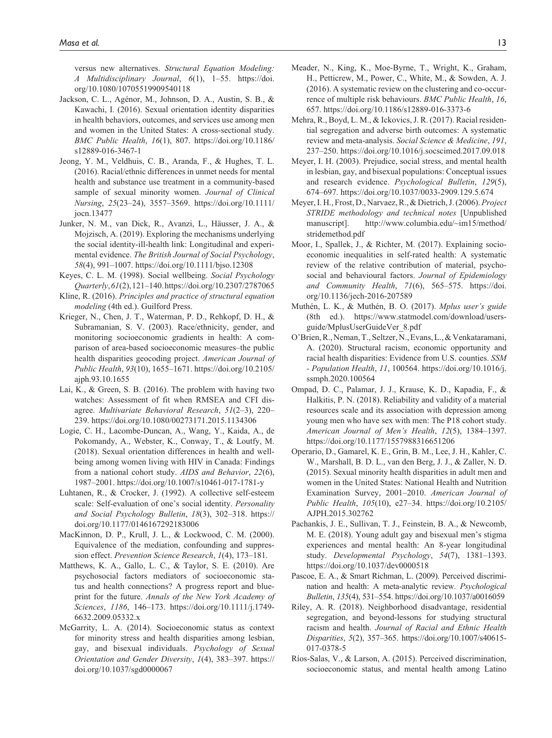versus new alternatives. *Structural Equation Modeling: A Multidisciplinary Journal*, *6*(1), 1–55. [https://doi.](https://doi.org/10.1080/10705519909540118) [org/10.1080/10705519909540118](https://doi.org/10.1080/10705519909540118)

- Jackson, C. L., Agénor, M., Johnson, D. A., Austin, S. B., & Kawachi, I. (2016). Sexual orientation identity disparities in health behaviors, outcomes, and services use among men and women in the United States: A cross-sectional study. *BMC Public Health*, *16*(1), 807. [https://doi.org/10.1186/](https://doi.org/10.1186/s12889-016-3467-1) [s12889-016-3467-1](https://doi.org/10.1186/s12889-016-3467-1)
- Jeong, Y. M., Veldhuis, C. B., Aranda, F., & Hughes, T. L. (2016). Racial/ethnic differences in unmet needs for mental health and substance use treatment in a community-based sample of sexual minority women. *Journal of Clinical Nursing*, *25*(23–24), 3557–3569. [https://doi.org/10.1111/](https://doi.org/10.1111/jocn.13477) [jocn.13477](https://doi.org/10.1111/jocn.13477)
- Junker, N. M., van Dick, R., Avanzi, L., Häusser, J. A., & Mojzisch, A. (2019). Exploring the mechanisms underlying the social identity-ill-health link: Longitudinal and experimental evidence. *The British Journal of Social Psychology*, *58*(4), 991–1007.<https://doi.org/10.1111/bjso.12308>
- Keyes, C. L. M. (1998). Social wellbeing. *Social Psychology Quarterly*, *61*(2), 121–140.<https://doi.org/10.2307/2787065>
- Kline, R. (2016). *Principles and practice of structural equation modeling* (4th ed.). Guilford Press.
- Krieger, N., Chen, J. T., Waterman, P. D., Rehkopf, D. H., & Subramanian, S. V. (2003). Race/ethnicity, gender, and monitoring socioeconomic gradients in health: A comparison of area-based socioeconomic measures–the public health disparities geocoding project. *American Journal of Public Health*, *93*(10), 1655–1671. [https://doi.org/10.2105/](https://doi.org/10.2105/ajph.93.10.1655) [ajph.93.10.1655](https://doi.org/10.2105/ajph.93.10.1655)
- Lai, K., & Green, S. B. (2016). The problem with having two watches: Assessment of fit when RMSEA and CFI disagree. *Multivariate Behavioral Research*, *51*(2–3), 220– 239.<https://doi.org/10.1080/00273171.2015.1134306>
- Logie, C. H., Lacombe-Duncan, A., Wang, Y., Kaida, A., de Pokomandy, A., Webster, K., Conway, T., & Loutfy, M. (2018). Sexual orientation differences in health and wellbeing among women living with HIV in Canada: Findings from a national cohort study. *AIDS and Behavior*, *22*(6), 1987–2001.<https://doi.org/10.1007/s10461-017-1781-y>
- Luhtanen, R., & Crocker, J. (1992). A collective self-esteem scale: Self-evaluation of one's social identity. *Personality and Social Psychology Bulletin*, *18*(3), 302–318. [https://](https://doi.org/10.1177/0146167292183006) [doi.org/10.1177/0146167292183006](https://doi.org/10.1177/0146167292183006)
- MacKinnon, D. P., Krull, J. L., & Lockwood, C. M. (2000). Equivalence of the mediation, confounding and suppression effect. *Prevention Science Research*, *1*(4), 173–181.
- Matthews, K. A., Gallo, L. C., & Taylor, S. E. (2010). Are psychosocial factors mediators of socioeconomic status and health connections? A progress report and blueprint for the future. *Annals of the New York Academy of Sciences*, *1186*, 146–173. [https://doi.org/10.1111/j.1749-](https://doi.org/10.1111/j.1749-6632.2009.05332.x) [6632.2009.05332.x](https://doi.org/10.1111/j.1749-6632.2009.05332.x)
- McGarrity, L. A. (2014). Socioeconomic status as context for minority stress and health disparities among lesbian, gay, and bisexual individuals. *Psychology of Sexual Orientation and Gender Diversity*, *1*(4), 383–397. [https://](https://doi.org/10.1037/sgd0000067) [doi.org/10.1037/sgd0000067](https://doi.org/10.1037/sgd0000067)
- Meader, N., King, K., Moe-Byrne, T., Wright, K., Graham, H., Petticrew, M., Power, C., White, M., & Sowden, A. J. (2016). A systematic review on the clustering and co-occurrence of multiple risk behaviours. *BMC Public Health*, *16*, 657.<https://doi.org/10.1186/s12889-016-3373-6>
- Mehra, R., Boyd, L. M., & Ickovics, J. R. (2017). Racial residential segregation and adverse birth outcomes: A systematic review and meta-analysis. *Social Science & Medicine*, *191*, 237–250.<https://doi.org/10.1016/j.socscimed.2017.09.018>
- Meyer, I. H. (2003). Prejudice, social stress, and mental health in lesbian, gay, and bisexual populations: Conceptual issues and research evidence. *Psychological Bulletin*, *129*(5), 674–697.<https://doi.org/10.1037/0033-2909.129.5.674>
- Meyer, I. H., Frost, D., Narvaez, R., & Dietrich, J. (2006). *Project STRIDE methodology and technical notes* [Unpublished manuscript]. [http://www.columbia.edu/~im15/method/](http://www.columbia.edu/~im15/method/stridemethod.pdf) [stridemethod.pdf](http://www.columbia.edu/~im15/method/stridemethod.pdf)
- Moor, I., Spallek, J., & Richter, M. (2017). Explaining socioeconomic inequalities in self-rated health: A systematic review of the relative contribution of material, psychosocial and behavioural factors. *Journal of Epidemiology and Community Health*, *71*(6), 565–575. [https://doi.](https://doi.org/10.1136/jech-2016-207589) [org/10.1136/jech-2016-207589](https://doi.org/10.1136/jech-2016-207589)
- Muthén, L. K., & Muthén, B. O. (2017). *Mplus user's guide* (8th ed.). [https://www.statmodel.com/download/users](https://www.statmodel.com/download/usersguide/MplusUserGuideVer_8.pdf)[guide/MplusUserGuideVer\\_8.pdf](https://www.statmodel.com/download/usersguide/MplusUserGuideVer_8.pdf)
- O'Brien, R., Neman, T., Seltzer, N., Evans, L., & Venkataramani, A. (2020). Structural racism, economic opportunity and racial health disparities: Evidence from U.S. counties. *SSM - Population Health*, *11*, 100564. [https://doi.org/10.1016/j.](https://doi.org/10.1016/j.ssmph.2020.100564) [ssmph.2020.100564](https://doi.org/10.1016/j.ssmph.2020.100564)
- Ompad, D. C., Palamar, J. J., Krause, K. D., Kapadia, F., & Halkitis, P. N. (2018). Reliability and validity of a material resources scale and its association with depression among young men who have sex with men: The P18 cohort study. *American Journal of Men's Health*, *12*(5), 1384–1397. <https://doi.org/10.1177/1557988316651206>
- Operario, D., Gamarel, K. E., Grin, B. M., Lee, J. H., Kahler, C. W., Marshall, B. D. L., van den Berg, J. J., & Zaller, N. D. (2015). Sexual minority health disparities in adult men and women in the United States: National Health and Nutrition Examination Survey, 2001–2010. *American Journal of Public Health*, *105*(10), e27–34. [https://doi.org/10.2105/](https://doi.org/10.2105/AJPH.2015.302762) [AJPH.2015.302762](https://doi.org/10.2105/AJPH.2015.302762)
- Pachankis, J. E., Sullivan, T. J., Feinstein, B. A., & Newcomb, M. E. (2018). Young adult gay and bisexual men's stigma experiences and mental health: An 8-year longitudinal study. *Developmental Psychology*, *54*(7), 1381–1393. <https://doi.org/10.1037/dev0000518>
- Pascoe, E. A., & Smart Richman, L. (2009). Perceived discrimination and health: A meta-analytic review. *Psychological Bulletin*, *135*(4), 531–554. <https://doi.org/10.1037/a0016059>
- Riley, A. R. (2018). Neighborhood disadvantage, residential segregation, and beyond-lessons for studying structural racism and health. *Journal of Racial and Ethnic Health Disparities*, *5*(2), 357–365. [https://doi.org/10.1007/s40615-](https://doi.org/10.1007/s40615-017-0378-5) [017-0378-5](https://doi.org/10.1007/s40615-017-0378-5)
- Ríos-Salas, V., & Larson, A. (2015). Perceived discrimination, socioeconomic status, and mental health among Latino